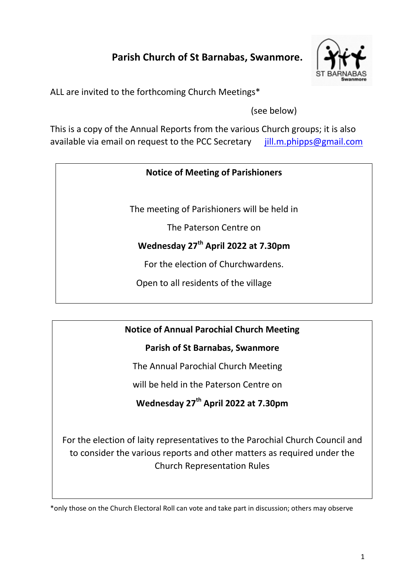# **Parish Church of St Barnabas, Swanmore.**



ALL are invited to the forthcoming Church Meetings\*

(see below)

This is a copy of the Annual Reports from the various Church groups; it is also available via email on request to the PCC Secretary iill.m.phipps@gmail.com

## **Notice of Meeting of Parishioners**

The meeting of Parishioners will be held in

The Paterson Centre on

# **Wednesday 27 th April 2022 at 7.30pm**

For the election of Churchwardens.

Open to all residents of the village

## **Notice of Annual Parochial Church Meeting**

## **Parish of St Barnabas, Swanmore**

The Annual Parochial Church Meeting

will be held in the Paterson Centre on

# **Wednesday 27 th April 2022 at 7.30pm**

For the election of laity representatives to the Parochial Church Council and to consider the various reports and other matters as required under the Church Representation Rules

\*only those on the Church Electoral Roll can vote and take part in discussion; others may observe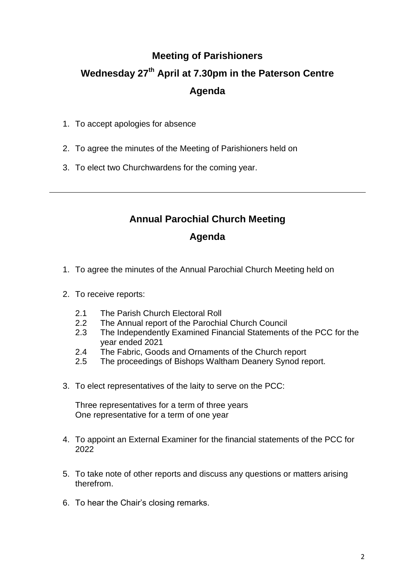# **Meeting of Parishioners Wednesday 27th April at 7.30pm in the Paterson Centre Agenda**

- 1. To accept apologies for absence
- 2. To agree the minutes of the Meeting of Parishioners held on
- 3. To elect two Churchwardens for the coming year.

# **Annual Parochial Church Meeting**

## **Agenda**

- 1. To agree the minutes of the Annual Parochial Church Meeting held on
- 2. To receive reports:
	- 2.1 The Parish Church Electoral Roll
	- 2.2 The Annual report of the Parochial Church Council
	- 2.3 The Independently Examined Financial Statements of the PCC for the year ended 2021
	- 2.4 The Fabric, Goods and Ornaments of the Church report
	- 2.5 The proceedings of Bishops Waltham Deanery Synod report.
- 3. To elect representatives of the laity to serve on the PCC:

Three representatives for a term of three years One representative for a term of one year

- 4. To appoint an External Examiner for the financial statements of the PCC for 2022
- 5. To take note of other reports and discuss any questions or matters arising therefrom.
- 6. To hear the Chair's closing remarks.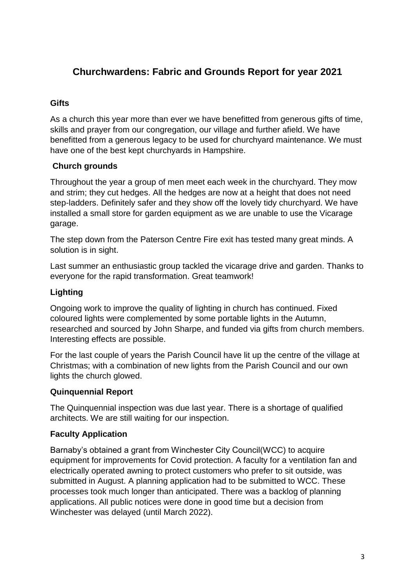# **Churchwardens: Fabric and Grounds Report for year 2021**

## **Gifts**

As a church this year more than ever we have benefitted from generous gifts of time, skills and prayer from our congregation, our village and further afield. We have benefitted from a generous legacy to be used for churchyard maintenance. We must have one of the best kept churchyards in Hampshire.

## **Church grounds**

Throughout the year a group of men meet each week in the churchyard. They mow and strim; they cut hedges. All the hedges are now at a height that does not need step-ladders. Definitely safer and they show off the lovely tidy churchyard. We have installed a small store for garden equipment as we are unable to use the Vicarage garage.

The step down from the Paterson Centre Fire exit has tested many great minds. A solution is in sight.

Last summer an enthusiastic group tackled the vicarage drive and garden. Thanks to everyone for the rapid transformation. Great teamwork!

## **Lighting**

Ongoing work to improve the quality of lighting in church has continued. Fixed coloured lights were complemented by some portable lights in the Autumn, researched and sourced by John Sharpe, and funded via gifts from church members. Interesting effects are possible.

For the last couple of years the Parish Council have lit up the centre of the village at Christmas; with a combination of new lights from the Parish Council and our own lights the church glowed.

#### **Quinquennial Report**

The Quinquennial inspection was due last year. There is a shortage of qualified architects. We are still waiting for our inspection.

#### **Faculty Application**

Barnaby's obtained a grant from Winchester City Council(WCC) to acquire equipment for improvements for Covid protection. A faculty for a ventilation fan and electrically operated awning to protect customers who prefer to sit outside, was submitted in August. A planning application had to be submitted to WCC. These processes took much longer than anticipated. There was a backlog of planning applications. All public notices were done in good time but a decision from Winchester was delayed (until March 2022).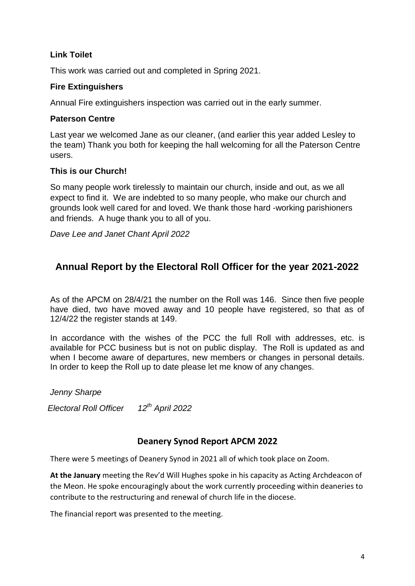### **Link Toilet**

This work was carried out and completed in Spring 2021.

#### **Fire Extinguishers**

Annual Fire extinguishers inspection was carried out in the early summer.

### **Paterson Centre**

Last year we welcomed Jane as our cleaner, (and earlier this year added Lesley to the team) Thank you both for keeping the hall welcoming for all the Paterson Centre users.

#### **This is our Church!**

So many people work tirelessly to maintain our church, inside and out, as we all expect to find it. We are indebted to so many people, who make our church and grounds look well cared for and loved. We thank those hard -working parishioners and friends. A huge thank you to all of you.

*Dave Lee and Janet Chant April 2022*

# **Annual Report by the Electoral Roll Officer for the year 2021-2022**

As of the APCM on 28/4/21 the number on the Roll was 146. Since then five people have died, two have moved away and 10 people have registered, so that as of 12/4/22 the register stands at 149.

In accordance with the wishes of the PCC the full Roll with addresses, etc. is available for PCC business but is not on public display. The Roll is updated as and when I become aware of departures, new members or changes in personal details. In order to keep the Roll up to date please let me know of any changes.

 *Jenny Sharpe Electoral Roll Officer 12th April 2022*

## **Deanery Synod Report APCM 2022**

There were 5 meetings of Deanery Synod in 2021 all of which took place on Zoom.

**At the January** meeting the Rev'd Will Hughes spoke in his capacity as Acting Archdeacon of the Meon. He spoke encouragingly about the work currently proceeding within deaneries to contribute to the restructuring and renewal of church life in the diocese.

The financial report was presented to the meeting.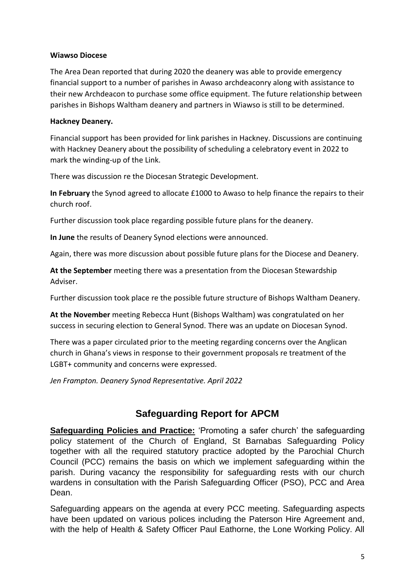#### **Wiawso Diocese**

The Area Dean reported that during 2020 the deanery was able to provide emergency financial support to a number of parishes in Awaso archdeaconry along with assistance to their new Archdeacon to purchase some office equipment. The future relationship between parishes in Bishops Waltham deanery and partners in Wiawso is still to be determined.

#### **Hackney Deanery.**

Financial support has been provided for link parishes in Hackney. Discussions are continuing with Hackney Deanery about the possibility of scheduling a celebratory event in 2022 to mark the winding-up of the Link.

There was discussion re the Diocesan Strategic Development.

**In February** the Synod agreed to allocate £1000 to Awaso to help finance the repairs to their church roof.

Further discussion took place regarding possible future plans for the deanery.

**In June** the results of Deanery Synod elections were announced.

Again, there was more discussion about possible future plans for the Diocese and Deanery.

**At the September** meeting there was a presentation from the Diocesan Stewardship Adviser.

Further discussion took place re the possible future structure of Bishops Waltham Deanery.

**At the November** meeting Rebecca Hunt (Bishops Waltham) was congratulated on her success in securing election to General Synod. There was an update on Diocesan Synod.

There was a paper circulated prior to the meeting regarding concerns over the Anglican church in Ghana's views in response to their government proposals re treatment of the LGBT+ community and concerns were expressed.

*Jen Frampton. Deanery Synod Representative. April 2022*

# **Safeguarding Report for APCM**

**Safeguarding Policies and Practice:** 'Promoting a safer church' the safeguarding policy statement of the Church of England, St Barnabas Safeguarding Policy together with all the required statutory practice adopted by the Parochial Church Council (PCC) remains the basis on which we implement safeguarding within the parish. During vacancy the responsibility for safeguarding rests with our church wardens in consultation with the Parish Safeguarding Officer (PSO), PCC and Area Dean.

Safeguarding appears on the agenda at every PCC meeting. Safeguarding aspects have been updated on various polices including the Paterson Hire Agreement and, with the help of Health & Safety Officer Paul Eathorne, the Lone Working Policy. All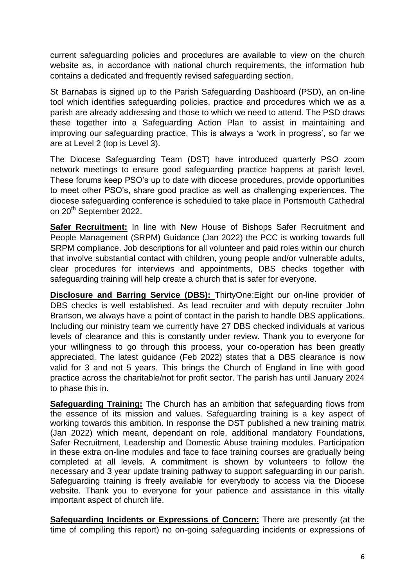current safeguarding policies and procedures are available to view on the church website as, in accordance with national church requirements, the information hub contains a dedicated and frequently revised safeguarding section.

St Barnabas is signed up to the Parish Safeguarding Dashboard (PSD), an on-line tool which identifies safeguarding policies, practice and procedures which we as a parish are already addressing and those to which we need to attend. The PSD draws these together into a Safeguarding Action Plan to assist in maintaining and improving our safeguarding practice. This is always a 'work in progress', so far we are at Level 2 (top is Level 3).

The Diocese Safeguarding Team (DST) have introduced quarterly PSO zoom network meetings to ensure good safeguarding practice happens at parish level. These forums keep PSO's up to date with diocese procedures, provide opportunities to meet other PSO's, share good practice as well as challenging experiences. The diocese safeguarding conference is scheduled to take place in Portsmouth Cathedral on 20<sup>th</sup> September 2022.

**Safer Recruitment:** In line with New House of Bishops Safer Recruitment and People Management (SRPM) Guidance (Jan 2022) the PCC is working towards full SRPM compliance. Job descriptions for all volunteer and paid roles within our church that involve substantial contact with children, young people and/or vulnerable adults, clear procedures for interviews and appointments, DBS checks together with safeguarding training will help create a church that is safer for everyone.

**Disclosure and Barring Service (DBS):** ThirtyOne:Eight our on-line provider of DBS checks is well established. As lead recruiter and with deputy recruiter John Branson, we always have a point of contact in the parish to handle DBS applications. Including our ministry team we currently have 27 DBS checked individuals at various levels of clearance and this is constantly under review. Thank you to everyone for your willingness to go through this process, your co-operation has been greatly appreciated. The latest guidance (Feb 2022) states that a DBS clearance is now valid for 3 and not 5 years. This brings the Church of England in line with good practice across the charitable/not for profit sector. The parish has until January 2024 to phase this in.

**Safeguarding Training:** The Church has an ambition that safeguarding flows from the essence of its mission and values. Safeguarding training is a key aspect of working towards this ambition. In response the DST published a new training matrix (Jan 2022) which meant, dependant on role, additional mandatory Foundations, Safer Recruitment, Leadership and Domestic Abuse training modules. Participation in these extra on-line modules and face to face training courses are gradually being completed at all levels. A commitment is shown by volunteers to follow the necessary and 3 year update training pathway to support safeguarding in our parish. Safeguarding training is freely available for everybody to access via the Diocese website. Thank you to everyone for your patience and assistance in this vitally important aspect of church life.

**Safeguarding Incidents or Expressions of Concern:** There are presently (at the time of compiling this report) no on-going safeguarding incidents or expressions of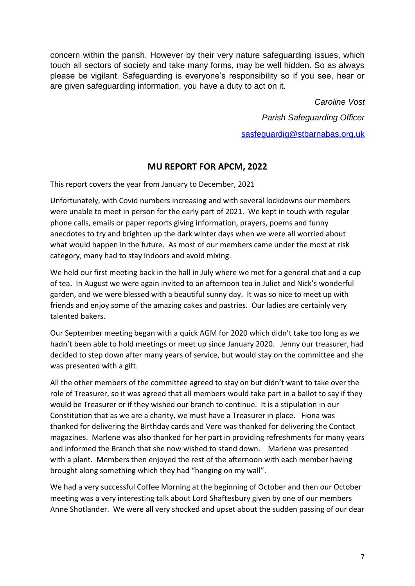concern within the parish. However by their very nature safeguarding issues, which touch all sectors of society and take many forms, may be well hidden. So as always please be vigilant. Safeguarding is everyone's responsibility so if you see, hear or are given safeguarding information, you have a duty to act on it.

> *Caroline Vost Parish Safeguarding Officer* [sasfeguardig@stbarnabas.org.uk](mailto:sasfeguardig@stbarnabas.org.uk)

## **MU REPORT FOR APCM, 2022**

This report covers the year from January to December, 2021

Unfortunately, with Covid numbers increasing and with several lockdowns our members were unable to meet in person for the early part of 2021. We kept in touch with regular phone calls, emails or paper reports giving information, prayers, poems and funny anecdotes to try and brighten up the dark winter days when we were all worried about what would happen in the future. As most of our members came under the most at risk category, many had to stay indoors and avoid mixing.

We held our first meeting back in the hall in July where we met for a general chat and a cup of tea. In August we were again invited to an afternoon tea in Juliet and Nick's wonderful garden, and we were blessed with a beautiful sunny day. It was so nice to meet up with friends and enjoy some of the amazing cakes and pastries. Our ladies are certainly very talented bakers.

Our September meeting began with a quick AGM for 2020 which didn't take too long as we hadn't been able to hold meetings or meet up since January 2020. Jenny our treasurer, had decided to step down after many years of service, but would stay on the committee and she was presented with a gift.

All the other members of the committee agreed to stay on but didn't want to take over the role of Treasurer, so it was agreed that all members would take part in a ballot to say if they would be Treasurer or if they wished our branch to continue. It is a stipulation in our Constitution that as we are a charity, we must have a Treasurer in place. Fiona was thanked for delivering the Birthday cards and Vere was thanked for delivering the Contact magazines. Marlene was also thanked for her part in providing refreshments for many years and informed the Branch that she now wished to stand down. Marlene was presented with a plant. Members then enjoyed the rest of the afternoon with each member having brought along something which they had "hanging on my wall".

We had a very successful Coffee Morning at the beginning of October and then our October meeting was a very interesting talk about Lord Shaftesbury given by one of our members Anne Shotlander. We were all very shocked and upset about the sudden passing of our dear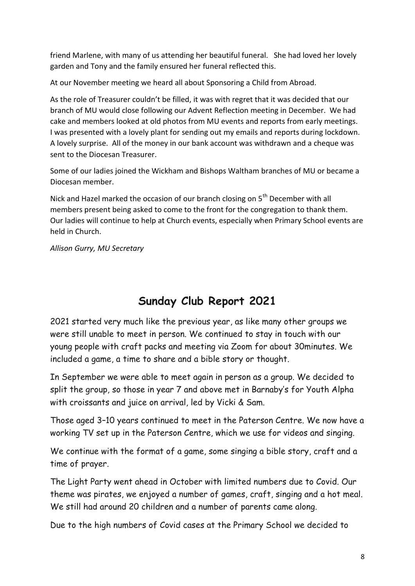friend Marlene, with many of us attending her beautiful funeral. She had loved her lovely garden and Tony and the family ensured her funeral reflected this.

At our November meeting we heard all about Sponsoring a Child from Abroad.

As the role of Treasurer couldn't be filled, it was with regret that it was decided that our branch of MU would close following our Advent Reflection meeting in December. We had cake and members looked at old photos from MU events and reports from early meetings. I was presented with a lovely plant for sending out my emails and reports during lockdown. A lovely surprise. All of the money in our bank account was withdrawn and a cheque was sent to the Diocesan Treasurer.

Some of our ladies joined the Wickham and Bishops Waltham branches of MU or became a Diocesan member.

Nick and Hazel marked the occasion of our branch closing on 5<sup>th</sup> December with all members present being asked to come to the front for the congregation to thank them. Our ladies will continue to help at Church events, especially when Primary School events are held in Church.

*Allison Gurry, MU Secretary*

# **Sunday Club Report 2021**

2021 started very much like the previous year, as like many other groups we were still unable to meet in person. We continued to stay in touch with our young people with craft packs and meeting via Zoom for about 30minutes. We included a game, a time to share and a bible story or thought.

In September we were able to meet again in person as a group. We decided to split the group, so those in year 7 and above met in Barnaby's for Youth Alpha with croissants and juice on arrival, led by Vicki & Sam.

Those aged 3–10 years continued to meet in the Paterson Centre. We now have a working TV set up in the Paterson Centre, which we use for videos and singing.

We continue with the format of a game, some singing a bible story, craft and a time of prayer.

The Light Party went ahead in October with limited numbers due to Covid. Our theme was pirates, we enjoyed a number of games, craft, singing and a hot meal. We still had around 20 children and a number of parents came along.

Due to the high numbers of Covid cases at the Primary School we decided to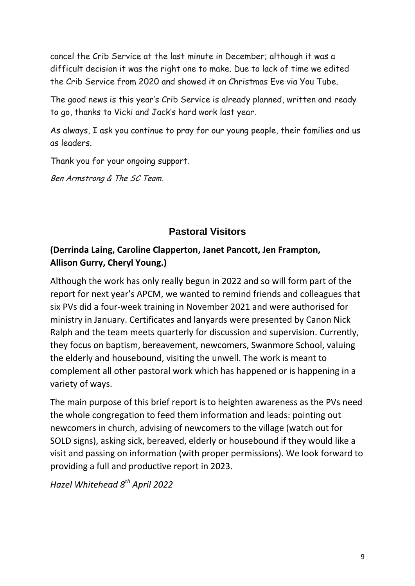cancel the Crib Service at the last minute in December; although it was a difficult decision it was the right one to make. Due to lack of time we edited the Crib Service from 2020 and showed it on Christmas Eve via You Tube.

The good news is this year's Crib Service is already planned, written and ready to go, thanks to Vicki and Jack's hard work last year.

As always, I ask you continue to pray for our young people, their families and us as leaders.

Thank you for your ongoing support.

Ben Armstrong & The SC Team.

# **Pastoral Visitors**

# **(Derrinda Laing, Caroline Clapperton, Janet Pancott, Jen Frampton, Allison Gurry, Cheryl Young.)**

Although the work has only really begun in 2022 and so will form part of the report for next year's APCM, we wanted to remind friends and colleagues that six PVs did a four-week training in November 2021 and were authorised for ministry in January. Certificates and lanyards were presented by Canon Nick Ralph and the team meets quarterly for discussion and supervision. Currently, they focus on baptism, bereavement, newcomers, Swanmore School, valuing the elderly and housebound, visiting the unwell. The work is meant to complement all other pastoral work which has happened or is happening in a variety of ways.

The main purpose of this brief report is to heighten awareness as the PVs need the whole congregation to feed them information and leads: pointing out newcomers in church, advising of newcomers to the village (watch out for SOLD signs), asking sick, bereaved, elderly or housebound if they would like a visit and passing on information (with proper permissions). We look forward to providing a full and productive report in 2023.

*Hazel Whitehead 8 th April 2022*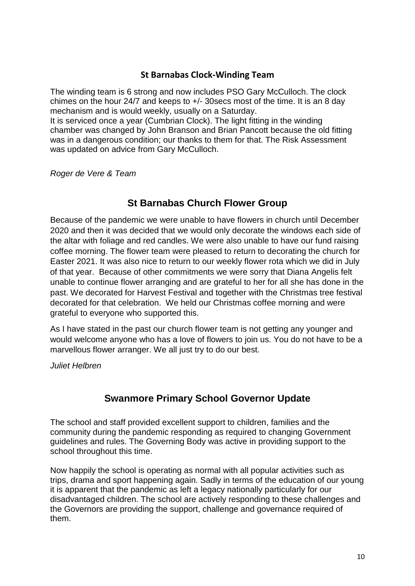#### **St Barnabas Clock-Winding Team**

The winding team is 6 strong and now includes PSO Gary McCulloch. The clock chimes on the hour 24/7 and keeps to +/- 30secs most of the time. It is an 8 day mechanism and is would weekly, usually on a Saturday.

It is serviced once a year (Cumbrian Clock). The light fitting in the winding chamber was changed by John Branson and Brian Pancott because the old fitting was in a dangerous condition; our thanks to them for that. The Risk Assessment was updated on advice from Gary McCulloch.

*Roger de Vere & Team*

## **St Barnabas Church Flower Group**

Because of the pandemic we were unable to have flowers in church until December 2020 and then it was decided that we would only decorate the windows each side of the altar with foliage and red candles. We were also unable to have our fund raising coffee morning. The flower team were pleased to return to decorating the church for Easter 2021. It was also nice to return to our weekly flower rota which we did in July of that year. Because of other commitments we were sorry that Diana Angelis felt unable to continue flower arranging and are grateful to her for all she has done in the past. We decorated for Harvest Festival and together with the Christmas tree festival decorated for that celebration. We held our Christmas coffee morning and were grateful to everyone who supported this.

As I have stated in the past our church flower team is not getting any younger and would welcome anyone who has a love of flowers to join us. You do not have to be a marvellous flower arranger. We all just try to do our best.

*Juliet Helbren*

# **Swanmore Primary School Governor Update**

The school and staff provided excellent support to children, families and the community during the pandemic responding as required to changing Government guidelines and rules. The Governing Body was active in providing support to the school throughout this time.

Now happily the school is operating as normal with all popular activities such as trips, drama and sport happening again. Sadly in terms of the education of our young it is apparent that the pandemic as left a legacy nationally particularly for our disadvantaged children. The school are actively responding to these challenges and the Governors are providing the support, challenge and governance required of them.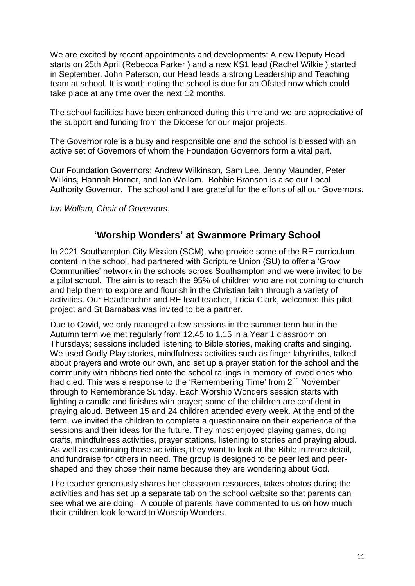We are excited by recent appointments and developments: A new Deputy Head starts on 25th April (Rebecca Parker ) and a new KS1 lead (Rachel Wilkie ) started in September. John Paterson, our Head leads a strong Leadership and Teaching team at school. It is worth noting the school is due for an Ofsted now which could take place at any time over the next 12 months.

The school facilities have been enhanced during this time and we are appreciative of the support and funding from the Diocese for our major projects.

The Governor role is a busy and responsible one and the school is blessed with an active set of Governors of whom the Foundation Governors form a vital part.

Our Foundation Governors: Andrew Wilkinson, Sam Lee, Jenny Maunder, Peter Wilkins, Hannah Horner, and Ian Wollam. Bobbie Branson is also our Local Authority Governor. The school and I are grateful for the efforts of all our Governors.

*Ian Wollam, Chair of Governors.*

## **'Worship Wonders' at Swanmore Primary School**

In 2021 Southampton City Mission (SCM), who provide some of the RE curriculum content in the school, had partnered with Scripture Union (SU) to offer a 'Grow Communities' network in the schools across Southampton and we were invited to be a pilot school. The aim is to reach the 95% of children who are not coming to church and help them to explore and flourish in the Christian faith through a variety of activities. Our Headteacher and RE lead teacher, Tricia Clark, welcomed this pilot project and St Barnabas was invited to be a partner.

Due to Covid, we only managed a few sessions in the summer term but in the Autumn term we met regularly from 12.45 to 1.15 in a Year 1 classroom on Thursdays; sessions included listening to Bible stories, making crafts and singing. We used Godly Play stories, mindfulness activities such as finger labyrinths, talked about prayers and wrote our own, and set up a prayer station for the school and the community with ribbons tied onto the school railings in memory of loved ones who had died. This was a response to the 'Remembering Time' from 2<sup>nd</sup> November through to Remembrance Sunday. Each Worship Wonders session starts with lighting a candle and finishes with prayer; some of the children are confident in praying aloud. Between 15 and 24 children attended every week. At the end of the term, we invited the children to complete a questionnaire on their experience of the sessions and their ideas for the future. They most enjoyed playing games, doing crafts, mindfulness activities, prayer stations, listening to stories and praying aloud. As well as continuing those activities, they want to look at the Bible in more detail, and fundraise for others in need. The group is designed to be peer led and peershaped and they chose their name because they are wondering about God.

The teacher generously shares her classroom resources, takes photos during the activities and has set up a separate tab on the school website so that parents can see what we are doing. A couple of parents have commented to us on how much their children look forward to Worship Wonders.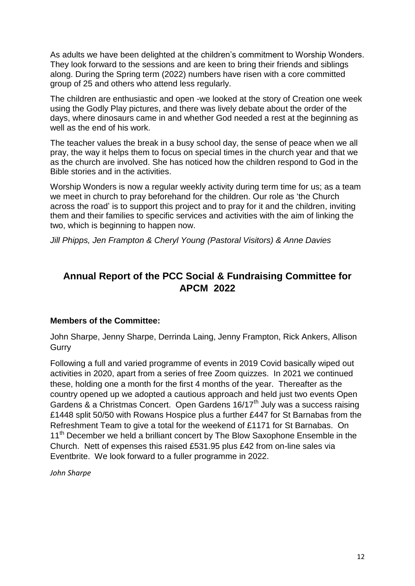As adults we have been delighted at the children's commitment to Worship Wonders. They look forward to the sessions and are keen to bring their friends and siblings along. During the Spring term (2022) numbers have risen with a core committed group of 25 and others who attend less regularly.

The children are enthusiastic and open -we looked at the story of Creation one week using the Godly Play pictures, and there was lively debate about the order of the days, where dinosaurs came in and whether God needed a rest at the beginning as well as the end of his work.

The teacher values the break in a busy school day, the sense of peace when we all pray, the way it helps them to focus on special times in the church year and that we as the church are involved. She has noticed how the children respond to God in the Bible stories and in the activities.

Worship Wonders is now a regular weekly activity during term time for us; as a team we meet in church to pray beforehand for the children. Our role as 'the Church across the road' is to support this project and to pray for it and the children, inviting them and their families to specific services and activities with the aim of linking the two, which is beginning to happen now.

*Jill Phipps, Jen Frampton & Cheryl Young (Pastoral Visitors) & Anne Davies*

# **Annual Report of the PCC Social & Fundraising Committee for APCM 2022**

#### **Members of the Committee:**

John Sharpe, Jenny Sharpe, Derrinda Laing, Jenny Frampton, Rick Ankers, Allison **Gurry** 

Following a full and varied programme of events in 2019 Covid basically wiped out activities in 2020, apart from a series of free Zoom quizzes. In 2021 we continued these, holding one a month for the first 4 months of the year. Thereafter as the country opened up we adopted a cautious approach and held just two events Open Gardens & a Christmas Concert. Open Gardens 16/17<sup>th</sup> July was a success raising £1448 split 50/50 with Rowans Hospice plus a further £447 for St Barnabas from the Refreshment Team to give a total for the weekend of £1171 for St Barnabas. On 11<sup>th</sup> December we held a brilliant concert by The Blow Saxophone Ensemble in the Church. Nett of expenses this raised £531.95 plus £42 from on-line sales via Eventbrite. We look forward to a fuller programme in 2022.

*John Sharpe*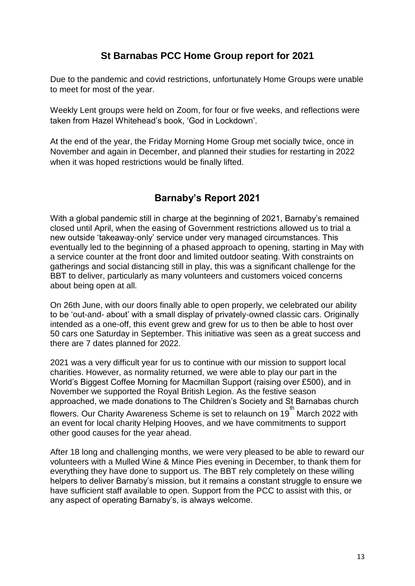## **St Barnabas PCC Home Group report for 2021**

Due to the pandemic and covid restrictions, unfortunately Home Groups were unable to meet for most of the year.

Weekly Lent groups were held on Zoom, for four or five weeks, and reflections were taken from Hazel Whitehead's book, 'God in Lockdown'.

At the end of the year, the Friday Morning Home Group met socially twice, once in November and again in December, and planned their studies for restarting in 2022 when it was hoped restrictions would be finally lifted.

# **Barnaby's Report 2021**

With a global pandemic still in charge at the beginning of 2021, Barnaby's remained closed until April, when the easing of Government restrictions allowed us to trial a new outside 'takeaway-only' service under very managed circumstances. This eventually led to the beginning of a phased approach to opening, starting in May with a service counter at the front door and limited outdoor seating. With constraints on gatherings and social distancing still in play, this was a significant challenge for the BBT to deliver, particularly as many volunteers and customers voiced concerns about being open at all.

On 26th June, with our doors finally able to open properly, we celebrated our ability to be 'out-and- about' with a small display of privately-owned classic cars. Originally intended as a one-off, this event grew and grew for us to then be able to host over 50 cars one Saturday in September. This initiative was seen as a great success and there are 7 dates planned for 2022.

2021 was a very difficult year for us to continue with our mission to support local charities. However, as normality returned, we were able to play our part in the World's Biggest Coffee Morning for Macmillan Support (raising over £500), and in November we supported the Royal British Legion. As the festive season approached, we made donations to The Children's Society and St Barnabas church

flowers. Our Charity Awareness Scheme is set to relaunch on 19<sup>th</sup> March 2022 with an event for local charity Helping Hooves, and we have commitments to support other good causes for the year ahead.

After 18 long and challenging months, we were very pleased to be able to reward our volunteers with a Mulled Wine & Mince Pies evening in December, to thank them for everything they have done to support us. The BBT rely completely on these willing helpers to deliver Barnaby's mission, but it remains a constant struggle to ensure we have sufficient staff available to open. Support from the PCC to assist with this, or any aspect of operating Barnaby's, is always welcome.